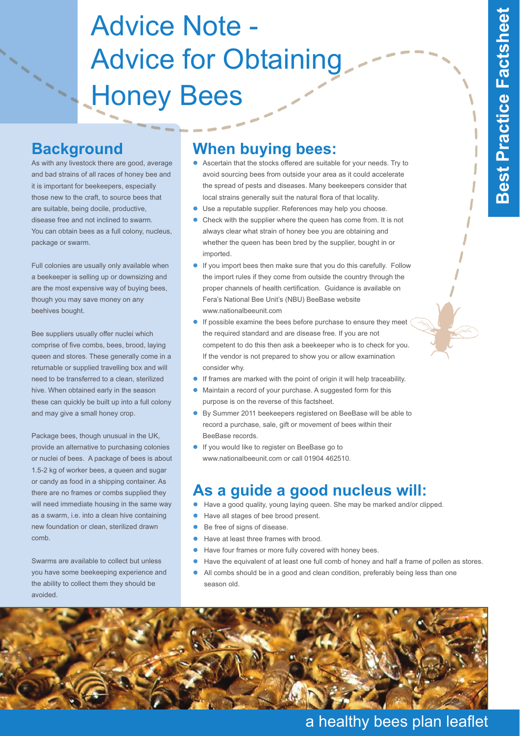# Advice Note - Advice for Obtaining **Honey Bees**

#### **Background**

As with any livestock there are good, average and bad strains of all races of honey bee and it is important for beekeepers, especially those new to the craft, to source bees that are suitable, being docile, productive, disease free and not inclined to swarm. You can obtain bees as a full colony, nucleus, package or swarm.

Full colonies are usually only available when a beekeeper is selling up or downsizing and are the most expensive way of buying bees, though you may save money on any beehives bought.

Bee suppliers usually offer nuclei which comprise of five combs, bees, brood, laying queen and stores. These generally come in a returnable or supplied travelling box and will need to be transferred to a clean, sterilized hive. When obtained early in the season these can quickly be built up into a full colony and may give a small honey crop.

Package bees, though unusual in the UK, provide an alternative to purchasing colonies or nuclei of bees. A package of bees is about 1.5-2 kg of worker bees, a queen and sugar or candy as food in a shipping container. As there are no frames or combs supplied they will need immediate housing in the same way as a swarm, i.e. into a clean hive containing new foundation or clean, sterilized drawn comb.

Swarms are available to collect but unless you have some beekeeping experience and the ability to collect them they should be avoided.

## **When buying bees:**

- Ascertain that the stocks offered are suitable for your needs. Try to avoid sourcing bees from outside your area as it could accelerate the spread of pests and diseases. Many beekeepers consider that local strains generally suit the natural flora of that locality.
- $\bullet$ Use a reputable supplier. References may help you choose.
- $\bullet$  Check with the supplier where the queen has come from. It is not always clear what strain of honey bee you are obtaining and whether the queen has been bred by the supplier, bought in or imported.
- $\bullet$  If you import bees then make sure that you do this carefully. Follow the import rules if they come from outside the country through the proper channels of health certification. Guidance is available on Fera's National Bee Unit's (NBU) BeeBase website www.nationalbeeunit.com
- $\bullet$  If possible examine the bees before purchase to ensure they meet the required standard and are disease free. If you are not competent to do this then ask a beekeeper who is to check for you. If the vendor is not prepared to show you or allow examination consider why.
- $\bullet$ If frames are marked with the point of origin it will help traceability.
- $\bullet$  Maintain a record of your purchase. A suggested form for this purpose is on the reverse of this factsheet.
- $\bullet$  By Summer 2011 beekeepers registered on BeeBase will be able to record a purchase, sale, gift or movement of bees within their BeeBase records.
- If you would like to register on BeeBase go to www.nationalbeeunit.com or call 01904 462510.

#### **As a guide a good nucleus will:**

- $\bullet$ Have a good quality, young laying queen. She may be marked and/or clipped.
- $\bullet$ Have all stages of bee brood present.
- $\bullet$ Be free of signs of disease.
- $\bullet$ Have at least three frames with brood.
- $\bullet$ Have four frames or more fully covered with honey bees.
- $\bullet$ Have the equivalent of at least one full comb of honey and half a frame of pollen as stores.
- $\bullet$  All combs should be in a good and clean condition, preferably being less than one season old.



#### a healthy bees plan leaflet